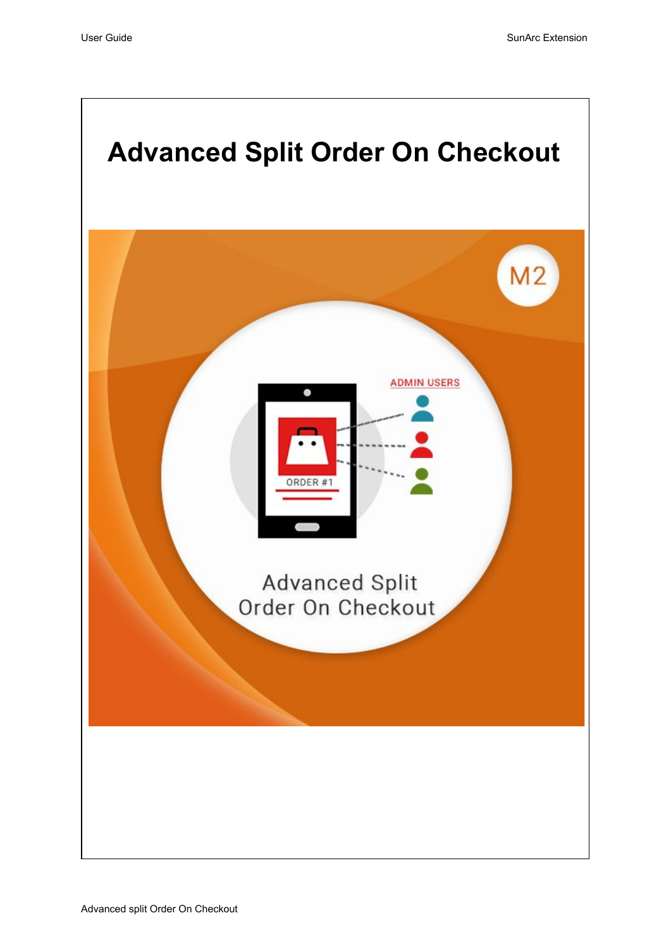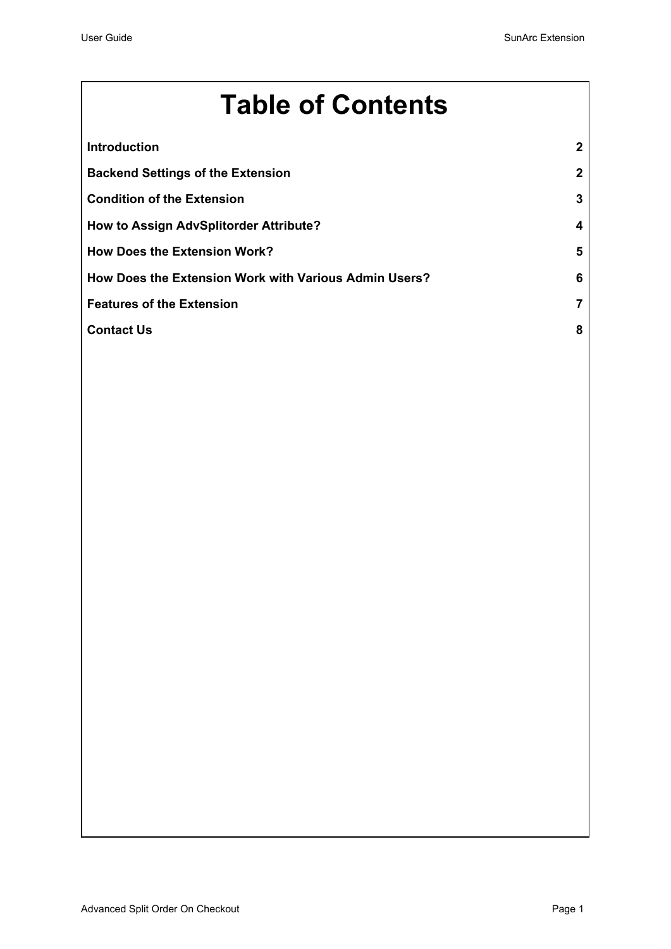# **Table of Contents**

| <b>Introduction</b>                                   | $\mathbf{2}$ |
|-------------------------------------------------------|--------------|
| <b>Backend Settings of the Extension</b>              | $\mathbf{2}$ |
| <b>Condition of the Extension</b>                     | 3            |
| How to Assign AdvSplitorder Attribute?                | 4            |
| <b>How Does the Extension Work?</b>                   | 5            |
| How Does the Extension Work with Various Admin Users? | 6            |
| <b>Features of the Extension</b>                      | 7            |
| <b>Contact Us</b>                                     | 8            |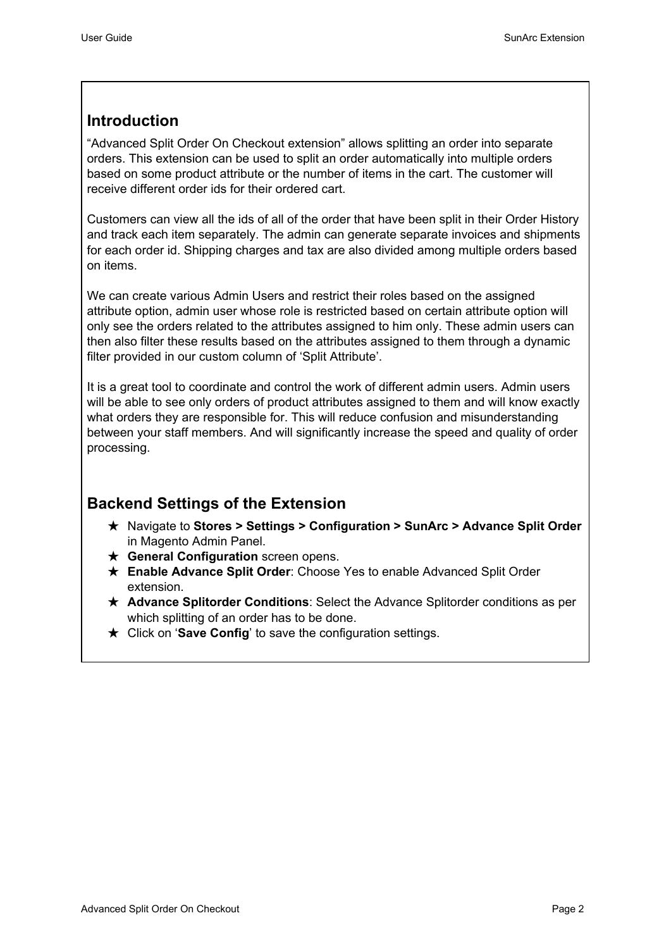## <span id="page-2-0"></span>**Introduction**

"Advanced Split Order On Checkout extension" allows splitting an order into separate orders. This extension can be used to split an order automatically into multiple orders based on some product attribute or the number of items in the cart. The customer will receive different order ids for their ordered cart.

Customers can view all the ids of all of the order that have been split in their Order History and track each item separately. The admin can generate separate invoices and shipments for each order id. Shipping charges and tax are also divided among multiple orders based on items.

We can create various Admin Users and restrict their roles based on the assigned attribute option, admin user whose role is restricted based on certain attribute option will only see the orders related to the attributes assigned to him only. These admin users can then also filter these results based on the attributes assigned to them through a dynamic filter provided in our custom column of 'Split Attribute'.

It is a great tool to coordinate and control the work of different admin users. Admin users will be able to see only orders of product attributes assigned to them and will know exactly what orders they are responsible for. This will reduce confusion and misunderstanding between your staff members. And will significantly increase the speed and quality of order processing.

## <span id="page-2-1"></span>**Backend Settings of the Extension**

- ★ Navigate to **Stores > Settings > Configuration > SunArc > Advance Split Order** in Magento Admin Panel.
- ★ **General Configuration** screen opens.
- ★ **Enable Advance Split Order**: Choose Yes to enable Advanced Split Order extension.
- ★ **Advance Splitorder Conditions**: Select the Advance Splitorder conditions as per which splitting of an order has to be done.
- ★ Click on '**Save Config**' to save the configuration settings.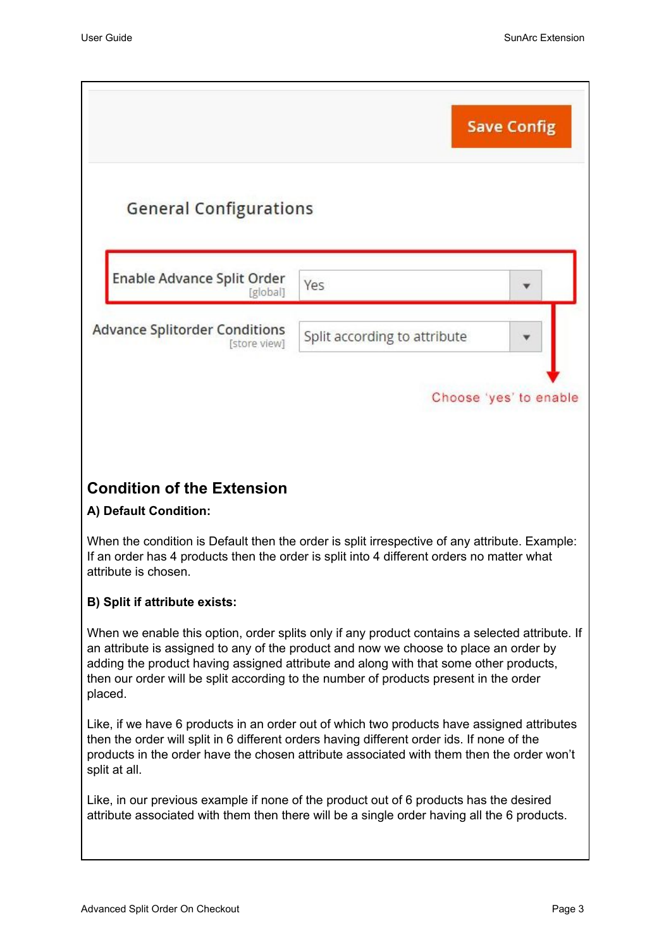<span id="page-3-0"></span>

|                                                            | <b>Save Config</b>                                                                                                                                                                                                                                                                                                                                                        |
|------------------------------------------------------------|---------------------------------------------------------------------------------------------------------------------------------------------------------------------------------------------------------------------------------------------------------------------------------------------------------------------------------------------------------------------------|
| <b>General Configurations</b>                              |                                                                                                                                                                                                                                                                                                                                                                           |
| Enable Advance Split Order<br>[global]                     | Yes                                                                                                                                                                                                                                                                                                                                                                       |
| <b>Advance Splitorder Conditions</b><br>[store view]       | Split according to attribute                                                                                                                                                                                                                                                                                                                                              |
|                                                            | Choose 'yes' to enable                                                                                                                                                                                                                                                                                                                                                    |
|                                                            |                                                                                                                                                                                                                                                                                                                                                                           |
| <b>Condition of the Extension</b><br>A) Default Condition: |                                                                                                                                                                                                                                                                                                                                                                           |
| attribute is chosen.                                       | When the condition is Default then the order is split irrespective of any attribute. Example:<br>If an order has 4 products then the order is split into 4 different orders no matter what                                                                                                                                                                                |
| <b>B) Split if attribute exists:</b>                       |                                                                                                                                                                                                                                                                                                                                                                           |
| placed.                                                    | When we enable this option, order splits only if any product contains a selected attribute. If<br>an attribute is assigned to any of the product and now we choose to place an order by<br>adding the product having assigned attribute and along with that some other products,<br>then our order will be split according to the number of products present in the order |
| split at all.                                              | Like, if we have 6 products in an order out of which two products have assigned attributes<br>then the order will split in 6 different orders having different order ids. If none of the<br>products in the order have the chosen attribute associated with them then the order won't                                                                                     |
|                                                            | Like, in our previous example if none of the product out of 6 products has the desired<br>attribute associated with them then there will be a single order having all the 6 products.                                                                                                                                                                                     |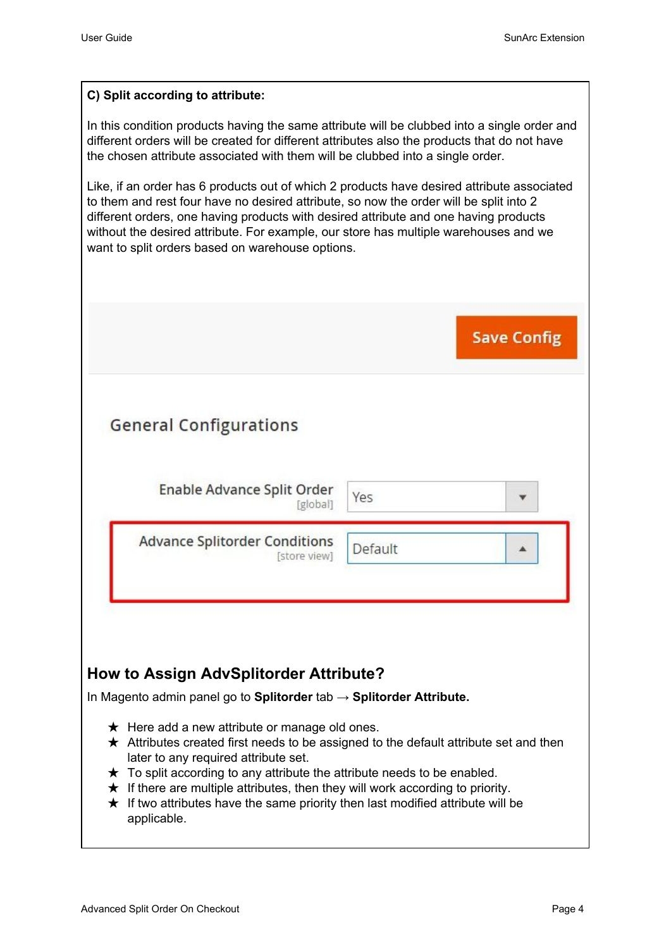## **C) Split according to attribute:**

In this condition products having the same attribute will be clubbed into a single order and different orders will be created for different attributes also the products that do not have the chosen attribute associated with them will be clubbed into a single order.

Like, if an order has 6 products out of which 2 products have desired attribute associated to them and rest four have no desired attribute, so now the order will be split into 2 different orders, one having products with desired attribute and one having products without the desired attribute. For example, our store has multiple warehouses and we want to split orders based on warehouse options.

|                                                      | <b>Save Config</b> |  |
|------------------------------------------------------|--------------------|--|
| <b>General Configurations</b>                        |                    |  |
| Enable Advance Split Order<br>[global]               | Yes                |  |
| <b>Advance Splitorder Conditions</b><br>[store view] | Default            |  |

- <span id="page-4-0"></span> $\star$  If there are multiple attributes, then they will work according to priority.
- $\star$  If two attributes have the same priority then last modified attribute will be applicable.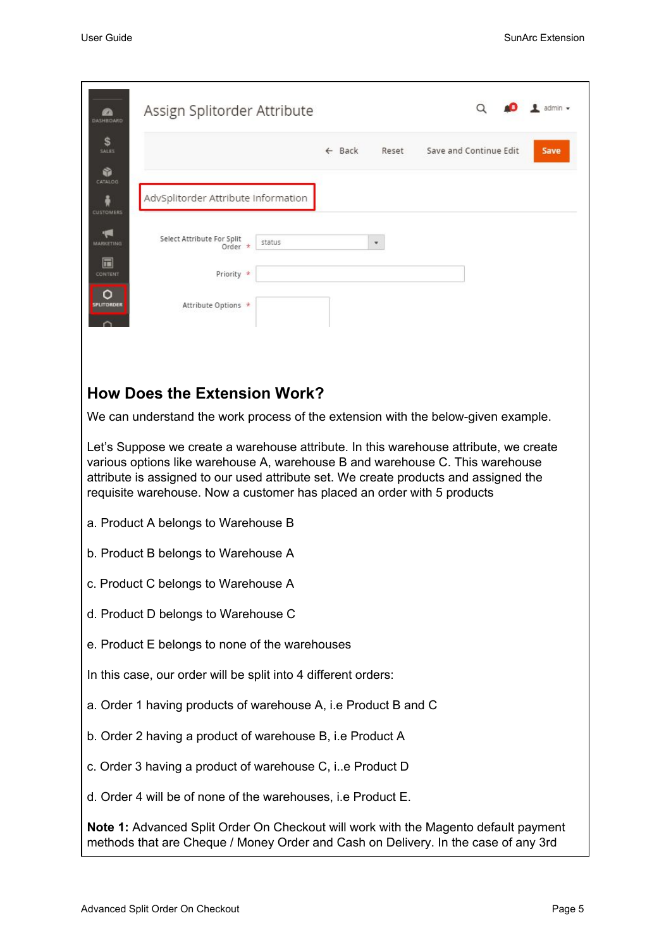<span id="page-5-0"></span>

| DASHBOARD                 | Assign Splitorder Attribute                                                                                                                                                                                                                                                                                                                                                                                                                                           |        |                   |       |                        | admin v |
|---------------------------|-----------------------------------------------------------------------------------------------------------------------------------------------------------------------------------------------------------------------------------------------------------------------------------------------------------------------------------------------------------------------------------------------------------------------------------------------------------------------|--------|-------------------|-------|------------------------|---------|
| S<br><b>SALES</b>         |                                                                                                                                                                                                                                                                                                                                                                                                                                                                       |        | $\leftarrow$ Back | Reset | Save and Continue Edit | Save    |
| ŵ<br>CATALOG              |                                                                                                                                                                                                                                                                                                                                                                                                                                                                       |        |                   |       |                        |         |
| <b>CUSTOMERS</b>          | AdvSplitorder Attribute Information                                                                                                                                                                                                                                                                                                                                                                                                                                   |        |                   |       |                        |         |
| MARKETING                 | Select Attribute For Split<br>Order                                                                                                                                                                                                                                                                                                                                                                                                                                   | status |                   |       |                        |         |
| $\blacksquare$<br>CONTENT | Priority *                                                                                                                                                                                                                                                                                                                                                                                                                                                            |        |                   |       |                        |         |
| <b>PLITORDER</b>          | Attribute Options *                                                                                                                                                                                                                                                                                                                                                                                                                                                   |        |                   |       |                        |         |
|                           | <b>How Does the Extension Work?</b><br>We can understand the work process of the extension with the below-given example.<br>Let's Suppose we create a warehouse attribute. In this warehouse attribute, we create<br>various options like warehouse A, warehouse B and warehouse C. This warehouse<br>attribute is assigned to our used attribute set. We create products and assigned the<br>requisite warehouse. Now a customer has placed an order with 5 products |        |                   |       |                        |         |
|                           | a. Product A belongs to Warehouse B                                                                                                                                                                                                                                                                                                                                                                                                                                   |        |                   |       |                        |         |
|                           | b. Product B belongs to Warehouse A                                                                                                                                                                                                                                                                                                                                                                                                                                   |        |                   |       |                        |         |
|                           | c. Product C belongs to Warehouse A                                                                                                                                                                                                                                                                                                                                                                                                                                   |        |                   |       |                        |         |
|                           | d. Product D belongs to Warehouse C                                                                                                                                                                                                                                                                                                                                                                                                                                   |        |                   |       |                        |         |
|                           | e. Product E belongs to none of the warehouses                                                                                                                                                                                                                                                                                                                                                                                                                        |        |                   |       |                        |         |
|                           | In this case, our order will be split into 4 different orders:                                                                                                                                                                                                                                                                                                                                                                                                        |        |                   |       |                        |         |

- a. Order 1 having products of warehouse A, i.e Product B and C
- b. Order 2 having a product of warehouse B, i.e Product A
- c. Order 3 having a product of warehouse C, i..e Product D
- d. Order 4 will be of none of the warehouses, i.e Product E.

**Note 1:** Advanced Split Order On Checkout will work with the Magento default payment methods that are Cheque / Money Order and Cash on Delivery. In the case of any 3rd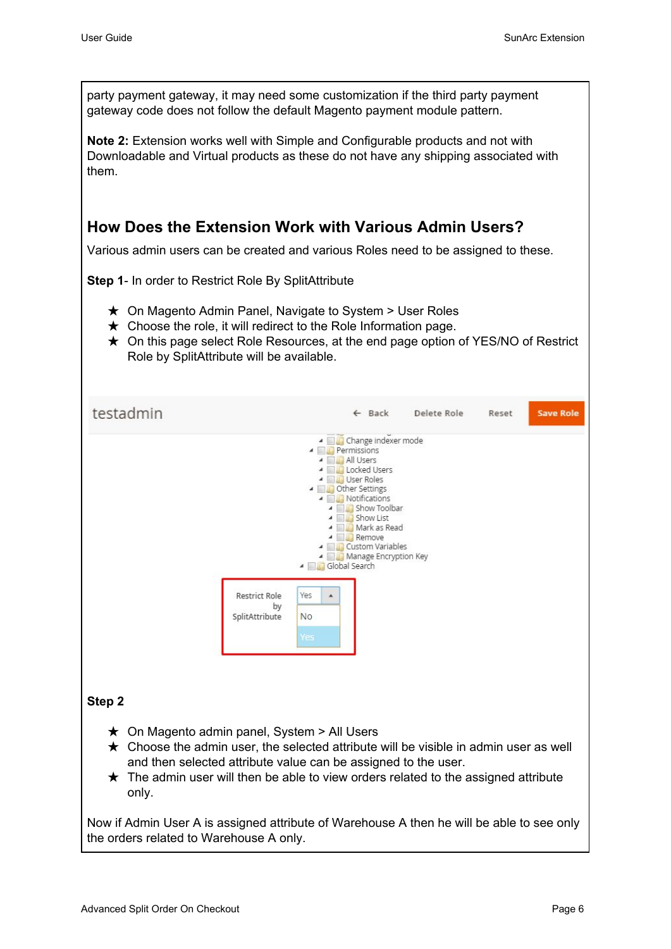<span id="page-6-0"></span>party payment gateway, it may need some customization if the third party payment gateway code does not follow the default Magento payment module pattern. **Note 2:** Extension works well with Simple and Configurable products and not with Downloadable and Virtual products as these do not have any shipping associated with them. **How Does the Extension Work with Various Admin Users?** Various admin users can be created and various Roles need to be assigned to these. **Step 1**- In order to Restrict Role By SplitAttribute ★ On Magento Admin Panel, Navigate to System > User Roles  $\star$  Choose the role, it will redirect to the Role Information page. ★ On this page select Role Resources, at the end page option of YES/NO of Restrict Role by SplitAttribute will be available. testadmin **Save Role** ← Back Delete Role Reset A **Change indexer mode A Permissions** All Users 4 **D** Locked Users 4 **Bull User Roles** ▲ ■● Other Settings A **Notifications** 4 Show Toolbar ▲ ■ Show List ▲ ■ Mark as Read ▲ **■ Remove** 4 **Quilt** Custom Variables A Manage Encryption Key 4 Global Search  $\mathbf{A}$ **Restrict Role** Yes by SplitAttribute **No Step 2**  $\star$  On Magento admin panel, System > All Users  $\star$  Choose the admin user, the selected attribute will be visible in admin user as well and then selected attribute value can be assigned to the user.  $\star$  The admin user will then be able to view orders related to the assigned attribute only. Now if Admin User A is assigned attribute of Warehouse A then he will be able to see only the orders related to Warehouse A only.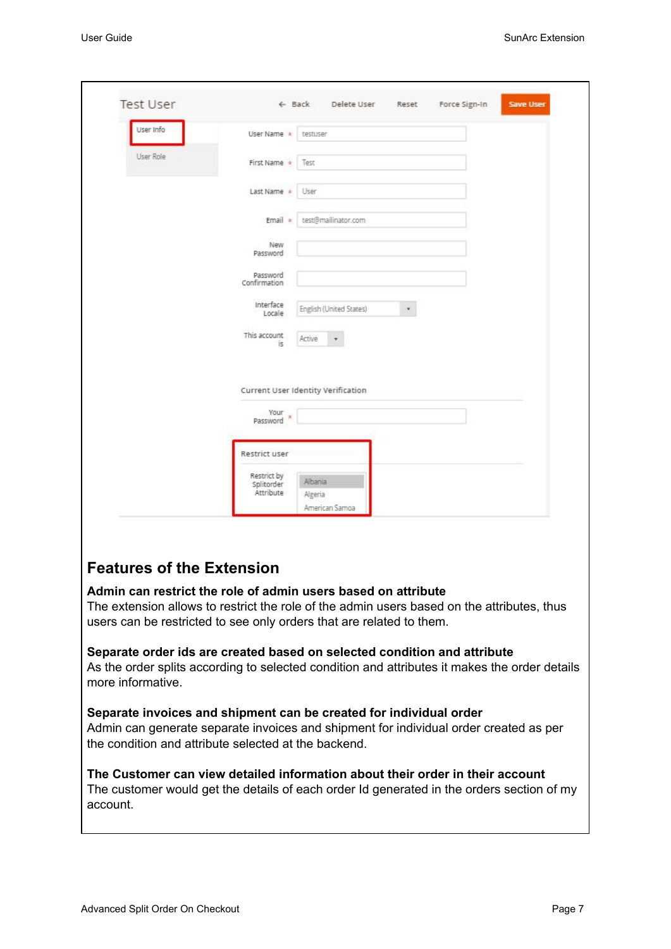| User Info                        | User Name *                            | testuser                             |   |  |
|----------------------------------|----------------------------------------|--------------------------------------|---|--|
| User Role                        | First Name *                           | Test                                 |   |  |
|                                  |                                        |                                      |   |  |
|                                  | Last Name *                            | User                                 |   |  |
|                                  | Email $*$                              | test@mailinator.com                  |   |  |
|                                  | New<br>Password                        |                                      |   |  |
|                                  | Password<br>Confirmation               |                                      |   |  |
|                                  | Interface<br>Locale                    | English (United States)              | × |  |
|                                  | This account<br>ïs.                    | Active                               |   |  |
|                                  |                                        | Current User Identity Verification   |   |  |
|                                  | Your<br>大<br>Password                  |                                      |   |  |
|                                  | Restrict user                          |                                      |   |  |
|                                  | Restrict by<br>Splitorder<br>Attribute | Albania<br>Algeria<br>American Samoa |   |  |
|                                  |                                        |                                      |   |  |
|                                  |                                        |                                      |   |  |
| <b>Features of the Extension</b> |                                        |                                      |   |  |

#### <span id="page-7-0"></span>**Separate order ids are created based on selected condition and attribute**

As the order splits according to selected condition and attributes it makes the order details more informative.

### **Separate invoices and shipment can be created for individual order**

Admin can generate separate invoices and shipment for individual order created as per the condition and attribute selected at the backend.

**The Customer can view detailed information about their order in their account** The customer would get the details of each order Id generated in the orders section of my account.